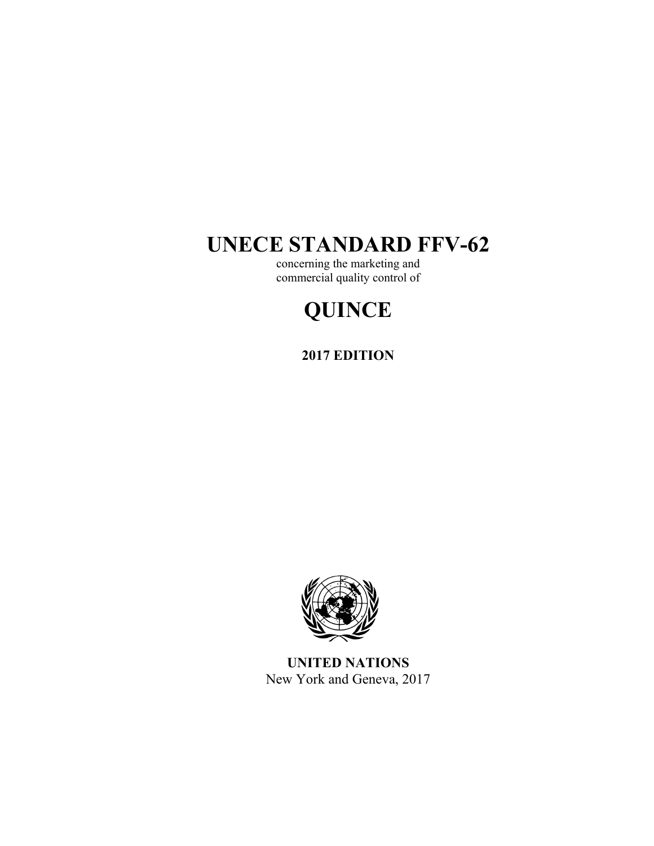# **UNECE STANDARD FFV-62**

concerning the marketing and commercial quality control of

# **QUINCE**

**2017 EDITION** 



**UNITED NATIONS**  New York and Geneva, 2017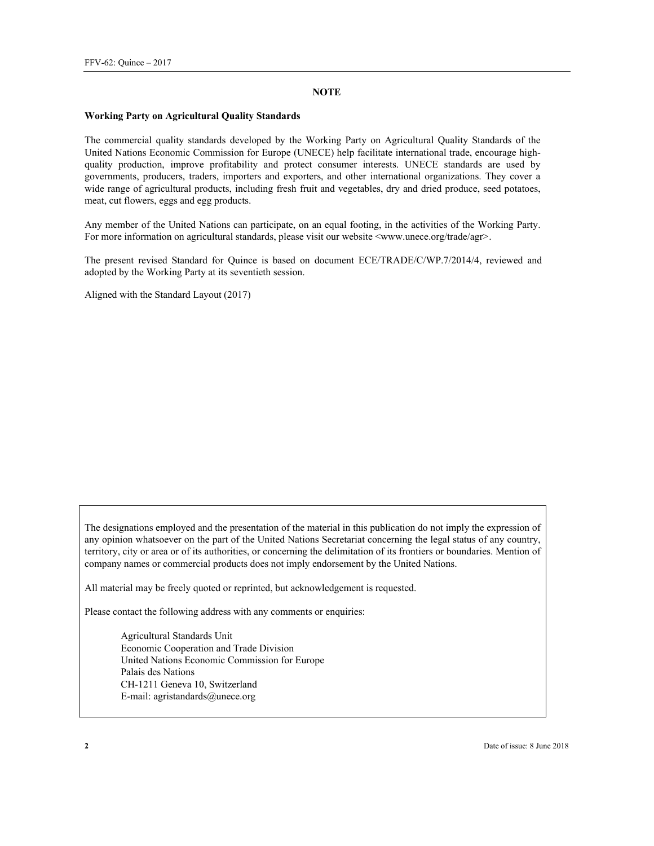#### **NOTE**

#### **Working Party on Agricultural Quality Standards**

The commercial quality standards developed by the Working Party on Agricultural Quality Standards of the United Nations Economic Commission for Europe (UNECE) help facilitate international trade, encourage highquality production, improve profitability and protect consumer interests. UNECE standards are used by governments, producers, traders, importers and exporters, and other international organizations. They cover a wide range of agricultural products, including fresh fruit and vegetables, dry and dried produce, seed potatoes, meat, cut flowers, eggs and egg products.

Any member of the United Nations can participate, on an equal footing, in the activities of the Working Party. For more information on agricultural standards, please visit our website <www.unece.org/trade/agr>.

The present revised Standard for Quince is based on document ECE/TRADE/C/WP.7/2014/4, reviewed and adopted by the Working Party at its seventieth session.

Aligned with the Standard Layout (2017)

The designations employed and the presentation of the material in this publication do not imply the expression of any opinion whatsoever on the part of the United Nations Secretariat concerning the legal status of any country, territory, city or area or of its authorities, or concerning the delimitation of its frontiers or boundaries. Mention of company names or commercial products does not imply endorsement by the United Nations.

All material may be freely quoted or reprinted, but acknowledgement is requested.

Please contact the following address with any comments or enquiries:

Agricultural Standards Unit Economic Cooperation and Trade Division United Nations Economic Commission for Europe Palais des Nations CH-1211 Geneva 10, Switzerland E-mail: agristandards@unece.org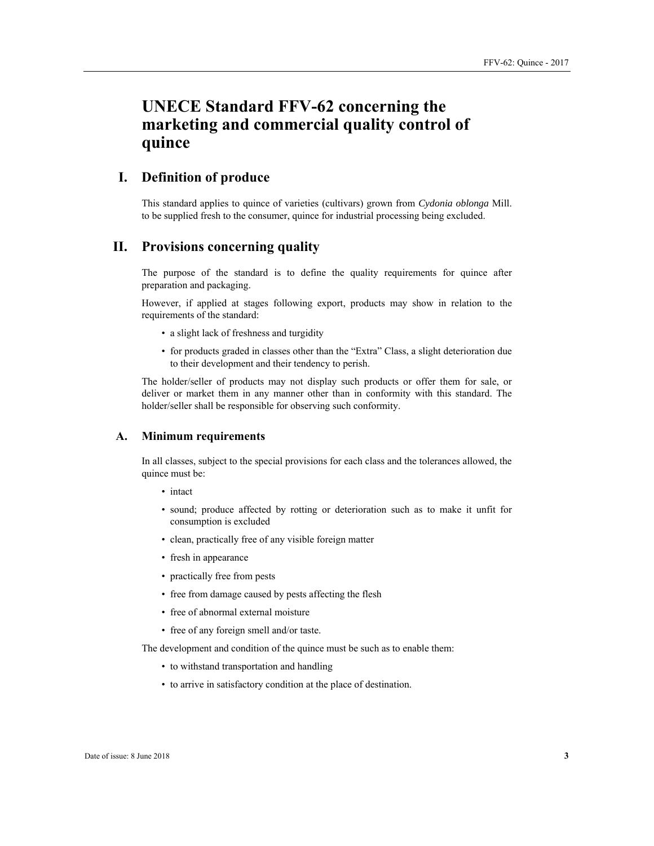# **UNECE Standard FFV-62 concerning the marketing and commercial quality control of quince**

# **I. Definition of produce**

This standard applies to quince of varieties (cultivars) grown from *Cydonia oblonga* Mill. to be supplied fresh to the consumer, quince for industrial processing being excluded.

# **II. Provisions concerning quality**

The purpose of the standard is to define the quality requirements for quince after preparation and packaging.

However, if applied at stages following export, products may show in relation to the requirements of the standard:

- a slight lack of freshness and turgidity
- for products graded in classes other than the "Extra" Class, a slight deterioration due to their development and their tendency to perish.

The holder/seller of products may not display such products or offer them for sale, or deliver or market them in any manner other than in conformity with this standard. The holder/seller shall be responsible for observing such conformity.

#### **А. Minimum requirements**

In all classes, subject to the special provisions for each class and the tolerances allowed, the quince must be:

- intact
- sound; produce affected by rotting or deterioration such as to make it unfit for consumption is excluded
- clean, practically free of any visible foreign matter
- fresh in appearance
- practically free from pests
- free from damage caused by pests affecting the flesh
- free of abnormal external moisture
- free of any foreign smell and/or taste.

The development and condition of the quince must be such as to enable them:

- to withstand transportation and handling
- to arrive in satisfactory condition at the place of destination.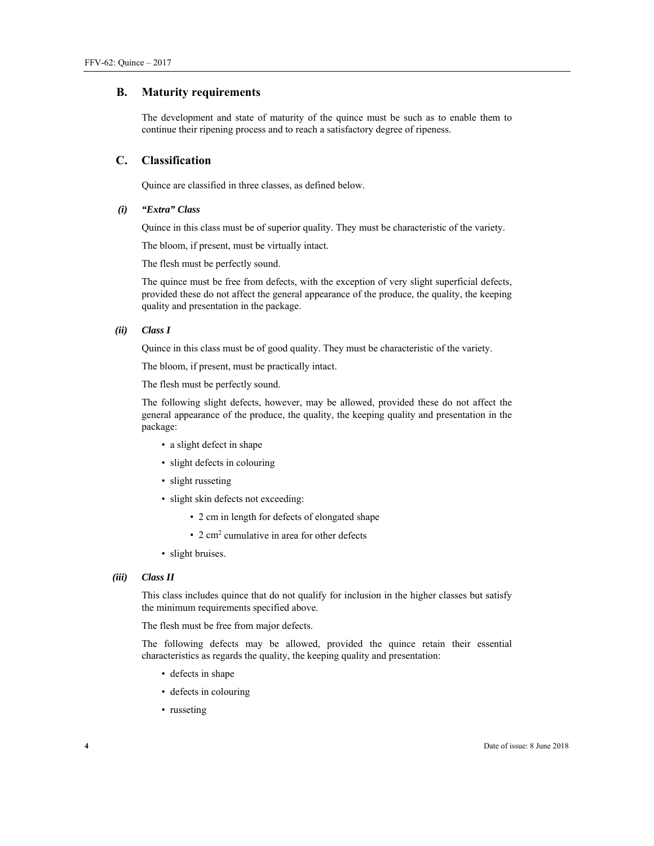#### **В. Maturity requirements**

The development and state of maturity of the quince must be such as to enable them to continue their ripening process and to reach a satisfactory degree of ripeness.

### **С. Classification**

Quince are classified in three classes, as defined below.

#### *(i) "Extra" Class*

Quince in this class must be of superior quality. They must be characteristic of the variety.

The bloom, if present, must be virtually intact.

The flesh must be perfectly sound.

The quince must be free from defects, with the exception of very slight superficial defects, provided these do not affect the general appearance of the produce, the quality, the keeping quality and presentation in the package.

#### *(ii) Class I*

Quince in this class must be of good quality. They must be characteristic of the variety.

The bloom, if present, must be practically intact.

The flesh must be perfectly sound.

The following slight defects, however, may be allowed, provided these do not affect the general appearance of the produce, the quality, the keeping quality and presentation in the package:

- a slight defect in shape
- slight defects in colouring
- slight russeting
- slight skin defects not exceeding:
	- 2 cm in length for defects of elongated shape
	- 2 cm2 cumulative in area for other defects
- slight bruises.

#### *(iii) Class II*

This class includes quince that do not qualify for inclusion in the higher classes but satisfy the minimum requirements specified above.

The flesh must be free from major defects.

The following defects may be allowed, provided the quince retain their essential characteristics as regards the quality, the keeping quality and presentation:

- defects in shape
- defects in colouring
- russeting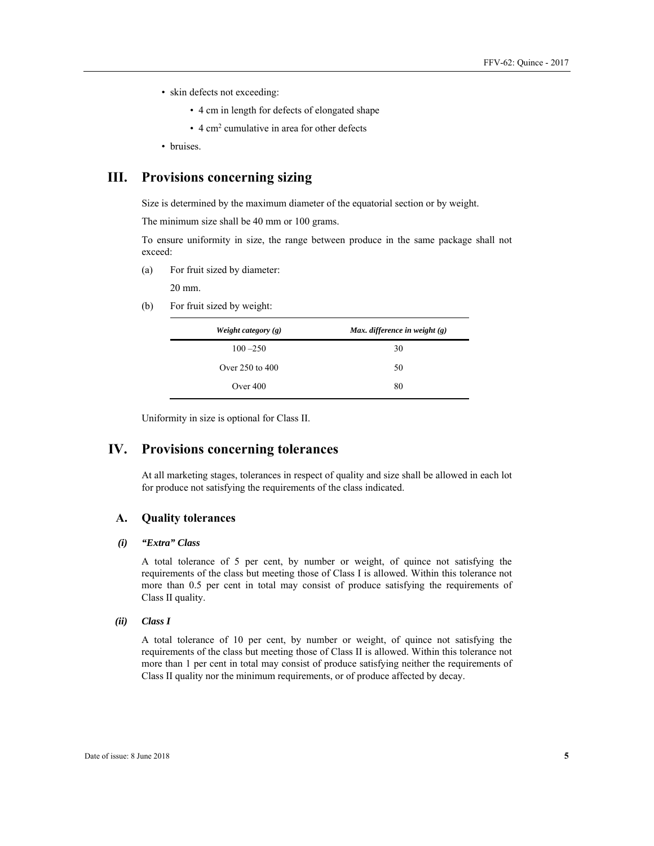- skin defects not exceeding:
	- 4 cm in length for defects of elongated shape
	- 4 cm2 cumulative in area for other defects
- bruises.

# **III. Provisions concerning sizing**

Size is determined by the maximum diameter of the equatorial section or by weight.

The minimum size shall be 40 mm or 100 grams.

To ensure uniformity in size, the range between produce in the same package shall not exceed:

(a) For fruit sized by diameter:

20 mm.

(b) For fruit sized by weight:

| Weight category $(g)$ | Max. difference in weight $(g)$ |
|-----------------------|---------------------------------|
| $100 - 250$           | 30                              |
| Over 250 to 400       | 50                              |
| Over $400$            | 80                              |

Uniformity in size is optional for Class II.

# **IV. Provisions concerning tolerances**

At all marketing stages, tolerances in respect of quality and size shall be allowed in each lot for produce not satisfying the requirements of the class indicated.

#### **A. Quality tolerances**

#### *(i) "Extra" Class*

A total tolerance of 5 per cent, by number or weight, of quince not satisfying the requirements of the class but meeting those of Class I is allowed. Within this tolerance not more than 0.5 per cent in total may consist of produce satisfying the requirements of Class II quality.

#### *(ii) Class I*

A total tolerance of 10 per cent, by number or weight, of quince not satisfying the requirements of the class but meeting those of Class II is allowed. Within this tolerance not more than 1 per cent in total may consist of produce satisfying neither the requirements of Class II quality nor the minimum requirements, or of produce affected by decay.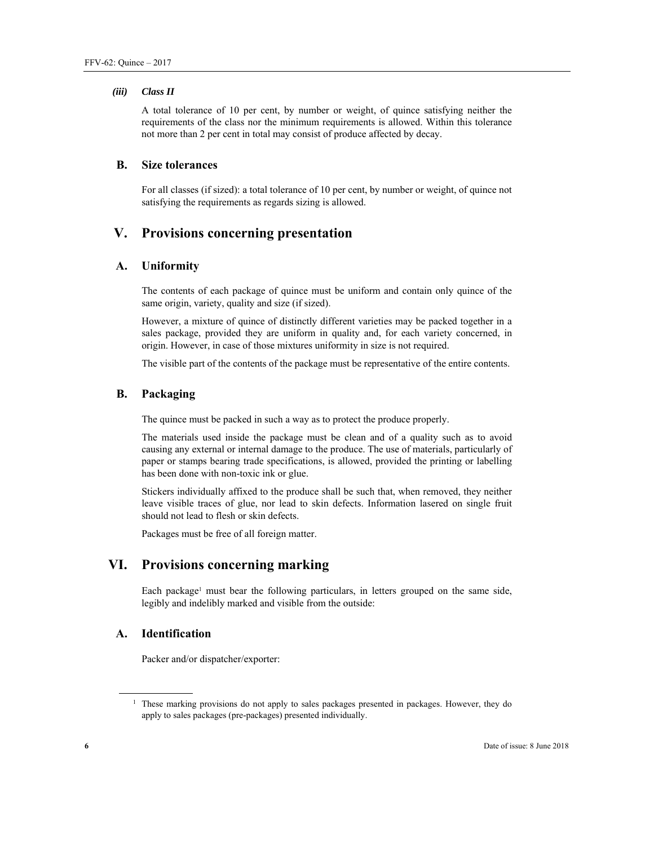#### *(iii) Class II*

A total tolerance of 10 per cent, by number or weight, of quince satisfying neither the requirements of the class nor the minimum requirements is allowed. Within this tolerance not more than 2 per cent in total may consist of produce affected by decay.

#### **B. Size tolerances**

For all classes (if sized): a total tolerance of 10 per cent, by number or weight, of quince not satisfying the requirements as regards sizing is allowed.

# **V. Provisions concerning presentation**

#### **А. Uniformity**

The contents of each package of quince must be uniform and contain only quince of the same origin, variety, quality and size (if sized).

However, a mixture of quince of distinctly different varieties may be packed together in a sales package, provided they are uniform in quality and, for each variety concerned, in origin. However, in case of those mixtures uniformity in size is not required.

The visible part of the contents of the package must be representative of the entire contents.

#### **В. Packaging**

The quince must be packed in such a way as to protect the produce properly.

The materials used inside the package must be clean and of a quality such as to avoid causing any external or internal damage to the produce. The use of materials, particularly of paper or stamps bearing trade specifications, is allowed, provided the printing or labelling has been done with non-toxic ink or glue.

Stickers individually affixed to the produce shall be such that, when removed, they neither leave visible traces of glue, nor lead to skin defects. Information lasered on single fruit should not lead to flesh or skin defects.

Packages must be free of all foreign matter.

# **VI. Provisions concerning marking**

Each package<sup>1</sup> must bear the following particulars, in letters grouped on the same side, legibly and indelibly marked and visible from the outside:

# **А. Identification**

Packer and/or dispatcher/exporter:

 $\overline{a}$ 

<sup>&</sup>lt;sup>1</sup> These marking provisions do not apply to sales packages presented in packages. However, they do apply to sales packages (pre-packages) presented individually.